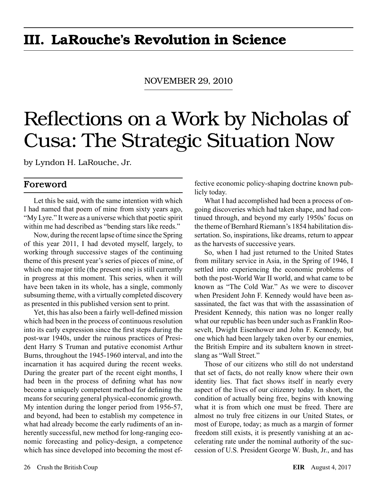# III. LaRouche's Revolution in Science

NOVember 29, 2010

# Reflections on a Work by Nicholas of Cusa: The Strategic Situation Now

by Lyndon H. LaRouche, Jr.

### Foreword

Let this be said, with the same intention with which I had named that poem of mine from sixty years ago, "My Lyre." It were as a universe which that poetic spirit within me had described as "bending stars like reeds."

Now, during the recent lapse of time since the Spring of this year 2011, I had devoted myself, largely, to working through successive stages of the continuing theme of this present year's series of pieces of mine, of which one major title (the present one) is still currently in progress at this moment. This series, when it will have been taken in its whole, has a single, commonly subsuming theme, with a virtually completed discovery as presented in this published version sent to print.

Yet, this has also been a fairly well-defined mission which had been in the process of continuous resolution into its early expression since the first steps during the post-war 1940s, under the ruinous practices of President Harry S Truman and putative economist Arthur Burns, throughout the 1945-1960 interval, and into the incarnation it has acquired during the recent weeks. During the greater part of the recent eight months, I had been in the process of defining what has now become a uniquely competent method for defining the means for securing general physical-economic growth. My intention during the longer period from 1956-57, and beyond, had been to establish my competence in what had already become the early rudiments of an inherently successful, new method for long-ranging economic forecasting and policy-design, a competence which has since developed into becoming the most effective economic policy-shaping doctrine known publicly today.

What I had accomplished had been a process of ongoing discoveries which had taken shape, and had continued through, and beyond my early 1950s' focus on the theme of Bernhard Riemann's 1854 habilitation dissertation. So, inspirations, like dreams, return to appear as the harvests of successive years.

So, when I had just returned to the United States from military service in Asia, in the Spring of 1946, I settled into experiencing the economic problems of both the post-World War II world, and what came to be known as "The Cold War." As we were to discover when President John F. Kennedy would have been assassinated, the fact was that with the assassination of President Kennedy, this nation was no longer really what our republic has been under such as Franklin Roosevelt, Dwight Eisenhower and John F. Kennedy, but one which had been largely taken over by our enemies, the British Empire and its subaltern known in streetslang as "Wall Street."

Those of our citizens who still do not understand that set of facts, do not really know where their own identity lies. That fact shows itself in nearly every aspect of the lives of our citizenry today. In short, the condition of actually being free, begins with knowing what it is from which one must be freed. There are almost no truly free citizens in our United States, or most of Europe, today; as much as a margin of former freedom still exists, it is presently vanishing at an accelerating rate under the nominal authority of the succession of U.S. President George W. Bush, Jr., and has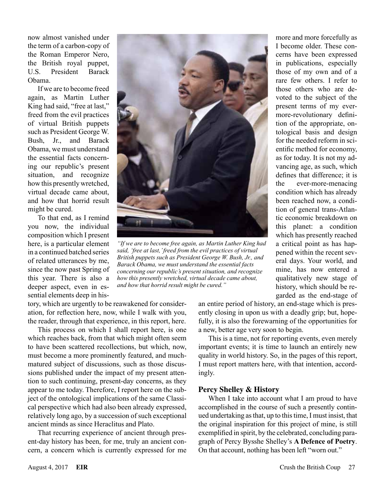now almost vanished under the term of a carbon-copy of the Roman Emperor Nero, the British royal puppet, U.S. President Barack Obama.

If we are to become freed again, as Martin Luther King had said, "free at last," freed from the evil practices of virtual British puppets such as President George W. Bush, Jr., and Barack Obama, we must understand the essential facts concerning our republic's present situation, and recognize how this presently wretched, virtual decade came about, and how that horrid result might be cured.

To that end, as I remind you now, the individual composition which I present here, is a particular element in a continued batched series of related utterances by me, since the now past Spring of this year. There is also a deeper aspect, even in essential elements deep in his-

tory, which are urgently to be reawakened for consideration, for reflection here, now, while I walk with you, the reader, through that experience, in this report, here. This process on which I shall report here, is one which reaches back, from that which might often seem to have been scattered recollections, but which, now, must become a more prominently featured, and muchmatured subject of discussions, such as those discussions published under the impact of my present attention to such continuing, present-day concerns, as they appear to me today. Therefore, I report here on the subject of the ontological implications of the same Classical perspective which had also been already expressed, relatively long ago, by a succession of such exceptional



*"If we are to become free again, as Martin Luther King had said, 'free at last,' freed from the evil practices of virtual British puppets such as President George W. Bush, Jr., and Barack Obama, we must understand the essential facts concerning our republic's present situation, and recognize how this presently wretched, virtual decade came about, and how that horrid result might be cured."*

garded as the end-stage of an entire period of history, an end-stage which is presently closing in upon us with a deadly grip; but, hopefully, it is also the forewarning of the opportunities for a new, better age very soon to begin.

This is a time, not for reporting events, even merely important events; it is time to launch an entirely new quality in world history. So, in the pages of this report, I must report matters here, with that intention, accordingly.

#### **Percy Shelley & History**

When I take into account what I am proud to have accomplished in the course of such a presently continued undertaking as that, up to this time, I must insist, that the original inspiration for this project of mine, is still exemplified in spirit, by the celebrated, concluding paragraph of Percy Bysshe Shelley's **A Defence of Poetry**. On that account, nothing has been left "worn out."

ancient minds as since Heraclitus and Plato.

That recurring experience of ancient through present-day history has been, for me, truly an ancient concern, a concern which is currently expressed for me more and more forcefully as I become older. These concerns have been expressed in publications, especially those of my own and of a rare few others. I refer to those others who are devoted to the subject of the present terms of my evermore-revolutionary definition of the appropriate, ontological basis and design for the needed reform in scientific method for economy, as for today. It is not my advancing age, as such, which defines that difference; it is the ever-more-menacing condition which has already been reached now, a condition of general trans-Atlantic economic breakdown on this planet: a condition which has presently reached a critical point as has happened within the recent several days. Your world, and mine, has now entered a qualitatively new stage of history, which should be re-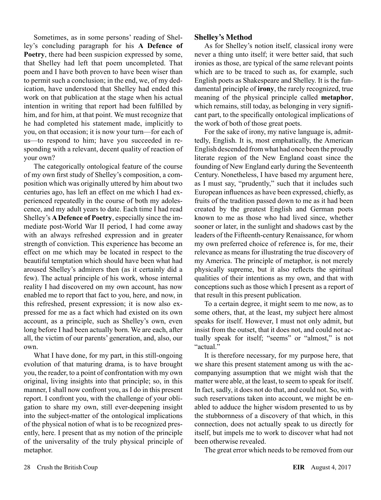Sometimes, as in some persons' reading of Shelley's concluding paragraph for his **A Defence of Poetry**, there had been suspicion expressed by some, that Shelley had left that poem uncompleted. That poem and I have both proven to have been wiser than to permit such a conclusion; in the end, we, of my dedication, have understood that Shelley had ended this work on that publication at the stage when his actual intention in writing that report had been fulfilled by him, and for him, at that point. We must recognize that he had completed his statement made, implicitly to you, on that occasion; it is now your turn—for each of us—to respond to him; have you succeeded in responding with a relevant, decent quality of reaction of your own?

The categorically ontological feature of the course of my own first study of Shelley's composition, a composition which was originally uttered by him about two centuries ago, has left an effect on me which I had experienced repeatedly in the course of both my adolescence, and my adult years to date. Each time I had read Shelley's **A Defence of Poetry**, especially since the immediate post-World War II period, I had come away with an always refreshed expression and in greater strength of conviction. This experience has become an effect on me which may be located in respect to the beautiful temptation which should have been what had aroused Shelley's admirers then (as it certainly did a few). The actual principle of his work, whose internal reality I had discovered on my own account, has now enabled me to report that fact to you, here, and now, in this refreshed, present expression; it is now also expressed for me as a fact which had existed on its own account, as a principle, such as Shelley's own, even long before I had been actually born. We are each, after all, the victim of our parents' generation, and, also, our own.

What I have done, for my part, in this still-ongoing evolution of that maturing drama, is to have brought you, the reader, to a point of confrontation with my own original, living insights into that principle; so, in this manner, I shall now confront you, as I do in this present report. I confront you, with the challenge of your obligation to share my own, still ever-deepening insight into the subject-matter of the ontological implications of the physical notion of what is to be recognized presently, here. I present that as my notion of the principle of the universality of the truly physical principle of metaphor.

#### **Shelley's Method**

As for Shelley's notion itself, classical irony were never a thing unto itself; it were better said, that such ironies as those, are typical of the same relevant points which are to be traced to such as, for example, such English poets as Shakespeare and Shelley. It is the fundamental principle of **irony**, the rarely recognized, true meaning of the physical principle called **metaphor**, which remains, still today, as belonging in very significant part, to the specifically ontological implications of the work of both of those great poets.

For the sake of irony, my native language is, admittedly, English. It is, most emphatically, the American English descended from what had once been the proudly literate region of the New England coast since the founding of New England early during the Seventeenth Century. Nonetheless, I have based my argument here, as I must say, "prudently," such that it includes such European influences as have been expressed, chiefly, as fruits of the tradition passed down to me as it had been created by the greatest English and German poets known to me as those who had lived since, whether sooner or later, in the sunlight and shadows cast by the leaders of the Fifteenth-century Renaissance, for whom my own preferred choice of reference is, for me, their relevance as means for illustrating the true discovery of my America. The principle of metaphor, is not merely physically supreme, but it also reflects the spiritual qualities of their intentions as my own, and that with conceptions such as those which I present as a report of that result in this present publication.

To a certain degree, it might seem to me now, as to some others, that, at the least, my subject here almost speaks for itself. However, I must not only admit, but insist from the outset, that it does not, and could not actually speak for itself; "seems" or "almost," is not "actual"

It is therefore necessary, for my purpose here, that we share this present statement among us with the accompanying assumption that we might wish that the matter were able, at the least, to seem to speak for itself. In fact, sadly, it does not do that, and could not. So, with such reservations taken into account, we might be enabled to adduce the higher wisdom presented to us by the stubbornness of a discovery of that which, in this connection, does not actually speak to us directly for itself, but impels me to work to discover what had not been otherwise revealed.

The great error which needs to be removed from our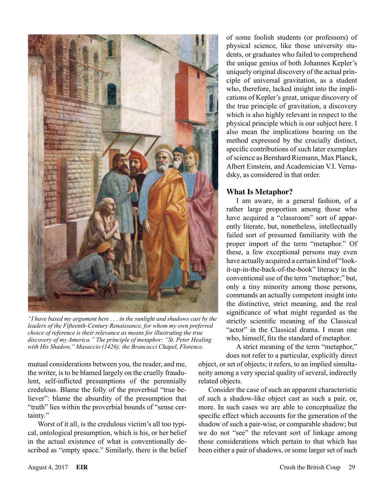

*"I have based my argument here . . . in the sunlight and shadows cast by the leaders of the Fifteenth-Century Renaissance, for whom my own preferred choice of reference is their relevance as means for illustrating the true discovery of my America." The principle of metaphor: "St. Peter Healing with His Shadow," Masaccio (1426); the Brancacci Chapel, Florence.*

mutual considerations between you, the reader, and me, the writer, is to be blamed largely on the cruelly fraudulent, self-inflicted presumptions of the perennially credulous. Blame the folly of the proverbial "true believer": blame the absurdity of the presumption that "truth" lies within the proverbial bounds of "sense certainty."

Worst of it all, is the credulous victim's all too typical, ontological presumption, which is his, or her belief in the actual existence of what is conventionally described as "empty space." Similarly, there is the belief of some foolish students (or professors) of physical science, like those university students, or graduates who failed to comprehend the unique genius of both Johannes Kepler's uniquely original discovery of the actual principle of universal gravitation, as a student who, therefore, lacked insight into the implications of Kepler's great, unique discovery of the true principle of gravitation, a discovery which is also highly relevant in respect to the physical principle which is our subject here. I also mean the implications bearing on the method expressed by the crucially distinct, specific contributions of such later exemplars of science as Bernhard Riemann, Max Planck, Albert Einstein, and Academician V.I. Vernadsky, as considered in that order.

#### **What Is Metaphor?**

I am aware, in a general fashion, of a rather large proportion among those who have acquired a "classroom" sort of apparently literate, but, nonetheless, intellectually failed sort of presumed familiarity with the proper import of the term "metaphor." Of these, a few exceptional persons may even have actually acquired a certain kind of "lookit-up-in-the-back-of-the-book" literacy in the conventional use of the term "metaphor;" but, only a tiny minority among those persons, commands an actually competent insight into the distinctive, strict meaning, and the real significance of what might regarded as the strictly scientific meaning of the Classical "actor" in the Classical drama. I mean one who, himself, fits the standard of metaphor.

A strict meaning of the term "metaphor,"

does not refer to a particular, explicitly direct object, or set of objects; it refers, to an implied simultaneity among a very special quality of several, indirectly related objects.

Consider the case of such an apparent characteristic of such a shadow-like object cast as such a pair, or, more. In such cases we are able to conceptualize the specific effect which accounts for the generation of the shadow of such a pair-wise, or comparable shadow; but we do not "see" the relevant sort of linkage among those considerations which pertain to that which has been either a pair of shadows, or some larger set of such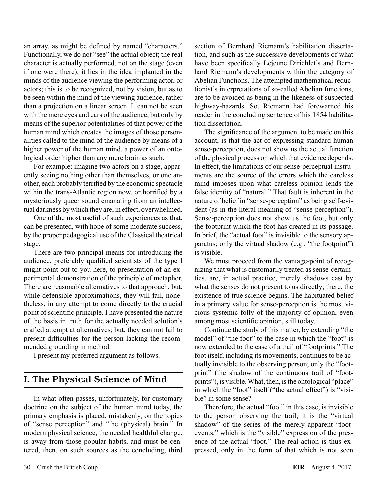an array, as might be defined by named "characters." Functionally, we do not "see" the actual object; the real character is actually performed, not on the stage (even if one were there); it lies in the idea implanted in the minds of the audience viewing the performing actor, or actors; this is to be recognized, not by vision, but as to be seen within the mind of the viewing audience, rather than a projection on a linear screen. It can not be seen with the mere eyes and ears of the audience, but only by means of the superior potentialities of that power of the human mind which creates the images of those personalities called to the mind of the audience by means of a higher power of the human mind, a power of an ontological order higher than any mere brain as such.

For example: imagine two actors on a stage, apparently seeing nothing other than themselves, or one another, each probably terrified by the economic spectacle within the trans-Atlantic region now, or horrified by a mysteriously queer sound emanating from an intellectual darkness by which they are, in effect, overwhelmed.

One of the most useful of such experiences as that, can be presented, with hope of some moderate success, by the proper pedagogical use of the Classical theatrical stage.

There are two principal means for introducing the audience, preferably qualified scientists of the type I might point out to you here, to presentation of an experimental demonstration of the principle of metaphor. There are reasonable alternatives to that approach, but, while defensible approximations, they will fail, nonetheless, in any attempt to come directly to the crucial point of scientific principle. I have presented the nature of the basis in truth for the actually needed solution's crafted attempt at alternatives; but, they can not fail to present difficulties for the person lacking the recommended grounding in method.

I present my preferred argument as follows.

## I. The Physical Science of Mind

In what often passes, unfortunately, for customary doctrine on the subject of the human mind today, the primary emphasis is placed, mistakenly, on the topics of "sense perception" and "the (physical) brain." In modern physical science, the needed healthful change, is away from those popular habits, and must be centered, then, on such sources as the concluding, third section of Bernhard Riemann's habilitation dissertation, and such as the successive developments of what have been specifically Lejeune Dirichlet's and Bernhard Riemann's developments within the category of Abelian Functions. The attempted mathematical reductionist's interpretations of so-called Abelian functions, are to be avoided as being in the likeness of suspected highway-hazards. So, Riemann had forewarned his reader in the concluding sentence of his 1854 habilitation dissertation.

The significance of the argument to be made on this account, is that the act of expressing standard human sense-perception, does not show us the actual function of the physical process on which that evidence depends. In effect, the limitations of our sense-perceptual instruments are the source of the errors which the careless mind imposes upon what careless opinion lends the false identity of "natural." That fault is inherent in the nature of belief in "sense-perception" as being self-evident (as in the literal meaning of "sense-perception"). Sense-perception does not show us the foot, but only the footprint which the foot has created in its passage. In brief, the "actual foot" is invisible to the sensory apparatus; only the virtual shadow (e.g., "the footprint") is visible.

We must proceed from the vantage-point of recognizing that what is customarily treated as sense-certainties, are, in actual practice, merely shadows cast by what the senses do not present to us directly; there, the existence of true science begins. The habituated belief in a primary value for sense-perception is the most vicious systemic folly of the majority of opinion, even among most scientific opinion, still today.

Continue the study of this matter, by extending "the model" of "the foot" to the case in which the "foot" is now extended to the case of a trail of "footprints." The foot itself, including its movements, continues to be actually invisible to the observing person; only the "footprint" (the shadow of the continuous trail of "footprints"), is visible. What, then, is the ontological "place" in which the "foot" itself ("the actual effect") is "visible" in some sense?

Therefore, the actual "foot" in this case, is invisible to the person observing the trail; it is the "virtual shadow" of the series of the merely apparent "footevents," which is the "visible" expression of the presence of the actual "foot." The real action is thus expressed, only in the form of that which is not seen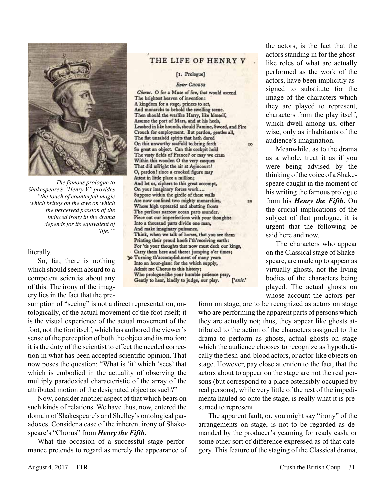

*The famous prologue to Shakespeare's "Henry V" provides "the touch of counterfeit magic which brings on the awe on which the perceived passion of the induced irony in the drama depends for its equivalent of 'life.'"*

#### literally.

So, far, there is nothing which should seem absurd to a competent scientist about any of this. The irony of the imagery lies in the fact that the pre-

sumption of "seeing" is not a direct representation, ontologically, of the actual movement of the foot itself; it is the visual experience of the actual movement of the foot, not the foot itself, which has authored the viewer's sense of the perception of both the object and its motion; it is the duty of the scientist to effect the needed correction in what has been accepted scientific opinion. That now poses the question: "What is 'it' which 'sees' that which is embodied in the actuality of observing the multiply paradoxical characteristic of the array of the attributed motion of the designated object as such?"

Now, consider another aspect of that which bears on such kinds of relations. We have thus, now, entered the domain of Shakespeare's and Shelley's ontological paradoxes. Consider a case of the inherent irony of Shakespeare's "Chorus" from *Henry the Fifth*.

What the occasion of a successful stage performance pretends to regard as merely the appearance of

#### THE LIFE OF HENRY V

#### [1. Prologue]

#### **Enter CHORUS**

Chorus. O for a Muse of fire, that would ascend The brightest heaven of invention: A kingdom for a stage, princes to act,<br>And monarchs to behold the swelling scene. Then should the warlike Harry, like himself, Assume the port of Mars, and at his heels, Leashed in like hounds, should Famine, Sword, and Fire Crouch for employment. But pardon, gentles all, The flat unraised spirits that hath dared On this unworthy scaffold to bring forth to So great an object. Can this cockpit hold The vasty fields of France? or may we cram Within this wooden O the very casques That did affright the air at Agincourt? O, pardon! since a crooked figure may Attest in little place a million; And let us, ciphers to this great accompt, On your imaginary forces work.... Suppose within the girdle of these walls Are now confined two mighty monarchies,  $20$ Whose high upreared and abutting fronts The perilous narrow ocean parts asunder. Piece out our imperfections with your thoughts: Into a thousand parts divide one man, And make imaginary puissance. Think, when we talk of horses, that you see them Printing their proud hoofs i'th'receiving earth: For 'tis your thoughts that now must deck our kings, Carry them here and there: jumping o'er times; 30 Turning th'accomplishment of many years Into an hour-glass: for the which supply, Admit me Chorus to this history; Who prologue-like your humble patience pray, Gently to hear, kindly to judge, our play. ['exit.'

the actors, is the fact that the actors standing in for the ghostlike roles of what are actually performed as the work of the actors, have been implicitly assigned to substitute for the image of the characters which they are played to represent, characters from the play itself, which dwell among us, otherwise, only as inhabitants of the audience's imagination.

Meanwhile, as to the drama as a whole, treat it as if you were being advised by the thinking of the voice of a Shakespeare caught in the moment of his writing the famous prologue from his *Henry the Fifth*. On the crucial implications of the subject of that prologue, it is urgent that the following be said here and now.

The characters who appear on the Classical stage of Shakespeare, are made up to appear as virtually ghosts, not the living bodies of the characters being played. The actual ghosts on whose account the actors per-

form on stage, are to be recognized as actors on stage who are performing the apparent parts of persons which they are actually not; thus, they appear like ghosts attributed to the action of the characters assigned to the drama to perform as ghosts, actual ghosts on stage which the audience chooses to recognize as hypothetically the flesh-and-blood actors, or actor-like objects on stage. However, pay close attention to the fact, that the actors about to appear on the stage are not the real persons (but correspond to a place ostensibly occupied by real persons), while very little of the rest of the impedimenta hauled so onto the stage, is really what it is presumed to represent.

The apparent fault, or, you might say "irony" of the arrangements on stage, is not to be regarded as demanded by the producer's yearning for ready cash, or some other sort of difference expressed as of that category. This feature of the staging of the Classical drama,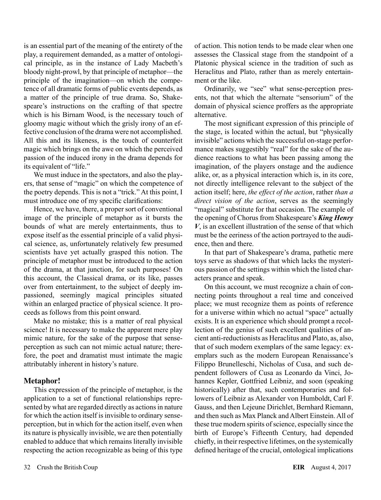is an essential part of the meaning of the entirety of the play, a requirement demanded, as a matter of ontological principle, as in the instance of Lady Macbeth's bloody night-prowl, by that principle of metaphor—the principle of the imagination—on which the competence of all dramatic forms of public events depends, as a matter of the principle of true drama. So, Shakespeare's instructions on the crafting of that spectre which is his Birnam Wood, is the necessary touch of gloomy magic without which the grisly irony of an effective conclusion of the drama were not accomplished. All this and its likeness, is the touch of counterfeit magic which brings on the awe on which the perceived passion of the induced irony in the drama depends for its equivalent of "life."

We must induce in the spectators, and also the players, that sense of "magic" on which the competence of the poetry depends. This is not a "trick." At this point, I must introduce one of my specific clarifications:

Hence, we have, there, a proper sort of conventional image of the principle of metaphor as it bursts the bounds of what are merely entertainments, thus to expose itself as the essential principle of a valid physical science, as, unfortunately relatively few presumed scientists have yet actually grasped this notion. The principle of metaphor must be introduced to the action of the drama, at that junction, for such purposes! On this account, the Classical drama, or its like, passes over from entertainment, to the subject of deeply impassioned, seemingly magical principles situated within an enlarged practice of physical science. It proceeds as follows from this point onward.

Make no mistake; this is a matter of real physical science! It is necessary to make the apparent mere play mimic nature, for the sake of the purpose that senseperception as such can not mimic actual nature; therefore, the poet and dramatist must intimate the magic attributably inherent in history's nature.

#### **Metaphor!**

This expression of the principle of metaphor, is the application to a set of functional relationships represented by what are regarded directly as actions in nature for which the action itself is invisible to ordinary senseperception, but in which for the action itself, even when its nature is physically invisible, we are then potentially enabled to adduce that which remains literally invisible respecting the action recognizable as being of this type of action. This notion tends to be made clear when one assesses the Classical stage from the standpoint of a Platonic physical science in the tradition of such as Heraclitus and Plato, rather than as merely entertainment or the like.

Ordinarily, we "see" what sense-perception presents, not that which the alternate "sensorium" of the domain of physical science proffers as the appropriate alternative.

The most significant expression of this principle of the stage, is located within the actual, but "physically invisible" actions which the successful on-stage performance makes suggestibly "real" for the sake of the audience reactions to what has been passing among the imagination, of the players onstage and the audience alike, or, as a physical interaction which is, in its core, not directly intelligence relevant to the subject of the action itself; here, *the effect of the action*, rather *than a direct vision of the action*, serves as the seemingly "magical" substitute for that occasion. The example of the opening of Chorus from Shakespeare's *King Henry V*, is an excellent illustration of the sense of that which must be the eeriness of the action portrayed to the audience, then and there.

In that part of Shakespeare's drama, pathetic mere toys serve as shadows of that which lacks the mysterious passion of the settings within which the listed characters prance and speak.

On this account, we must recognize a chain of connecting points throughout a real time and conceived place; we must recognize them as points of reference for a universe within which no actual "space" actually exists. It is an experience which should prompt a recollection of the genius of such excellent qualities of ancient anti-reductionists as Heraclitus and Plato, as, also, that of such modern exemplars of the same legacy: exemplars such as the modern European Renaissance's Filippo Brunelleschi, Nicholas of Cusa, and such dependent followers of Cusa as Leonardo da Vinci, Johannes Kepler, Gottfried Leibniz, and soon (speaking historically) after that, such contemporaries and followers of Leibniz as Alexander von Humboldt, Carl F. Gauss, and then Lejeune Dirichlet, Bernhard Riemann, and then such as Max Planck and Albert Einstein. All of these true modern spirits of science, especially since the birth of Europe's Fifteenth Century, had depended chiefly, in their respective lifetimes, on the systemically defined heritage of the crucial, ontological implications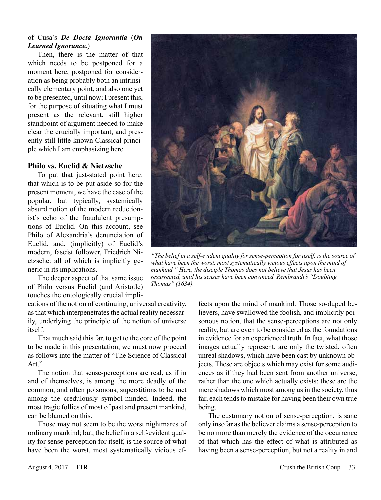#### of Cusa's *De Docta Ignorantia* (*On Learned Ignorance.*)

Then, there is the matter of that which needs to be postponed for a moment here, postponed for consideration as being probably both an intrinsically elementary point, and also one yet to be presented, until now; I present this, for the purpose of situating what I must present as the relevant, still higher standpoint of argument needed to make clear the crucially important, and presently still little-known Classical principle which I am emphasizing here.

#### **Philo vs. Euclid & Nietzsche**

To put that just-stated point here: that which is to be put aside so for the present moment, we have the case of the popular, but typically, systemically absurd notion of the modern reductionist's echo of the fraudulent presumptions of Euclid. On this account, see Philo of Alexandria's denunciation of Euclid, and, (implicitly) of Euclid's modern, fascist follower, Friedrich Nietzsche: all of which is implicitly generic in its implications.

The deeper aspect of that same issue of Philo versus Euclid (and Aristotle) touches the ontologically crucial impli-

cations of the notion of continuing, universal creativity, as that which interpenetrates the actual reality necessarily, underlying the principle of the notion of universe itself.

That much said this far, to get to the core of the point to be made in this presentation, we must now proceed as follows into the matter of "The Science of Classical Art."

The notion that sense-perceptions are real, as if in and of themselves, is among the more deadly of the common, and often poisonous, superstitions to be met among the credulously symbol-minded. Indeed, the most tragic follies of most of past and present mankind, can be blamed on this.

Those may not seem to be the worst nightmares of ordinary mankind; but, the belief in a self-evident quality for sense-perception for itself, is the source of what have been the worst, most systematically vicious ef-



*"The belief in a self-evident quality for sense-perception for itself, is the source of what have been the worst, most systematically vicious effects upon the mind of mankind." Here, the disciple Thomas does not believe that Jesus has been resurrected, until his senses have been convinced. Rembrandt's "Doubting Thomas" (1634).*

fects upon the mind of mankind. Those so-duped believers, have swallowed the foolish, and implicitly poisonous notion, that the sense-perceptions are not only reality, but are even to be considered as the foundations in evidence for an experienced truth. In fact, what those images actually represent, are only the twisted, often unreal shadows, which have been cast by unknown objects. These are objects which may exist for some audiences as if they had been sent from another universe, rather than the one which actually exists; these are the mere shadows which most among us in the society, thus far, each tends to mistake for having been their own true being.

The customary notion of sense-perception, is sane only insofar as the believer claims a sense-perception to be no more than merely the evidence of the occurrence of that which has the effect of what is attributed as having been a sense-perception, but not a reality in and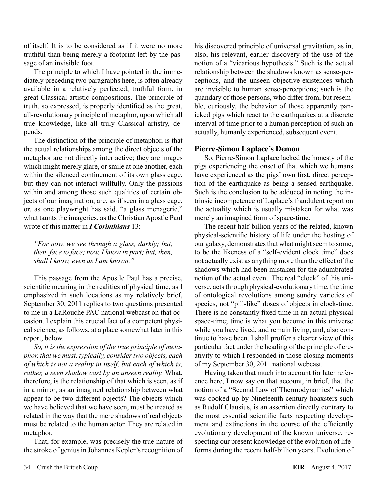of itself. It is to be considered as if it were no more truthful than being merely a footprint left by the passage of an invisible foot.

The principle to which I have pointed in the immediately preceding two paragraphs here, is often already available in a relatively perfected, truthful form, in great Classical artistic compositions. The principle of truth, so expressed, is properly identified as the great, all-revolutionary principle of metaphor, upon which all true knowledge, like all truly Classical artistry, depends.

The distinction of the principle of metaphor, is that the actual relationships among the direct objects of the metaphor are not directly inter active; they are images which might merely glare, or smile at one another, each within the silenced confinement of its own glass cage, but they can not interact willfully. Only the passions within and among those such qualities of certain objects of our imagination, are, as if seen in a glass cage, or, as one playwright has said, "a glass menagerie," what taunts the imageries, as the Christian Apostle Paul wrote of this matter in *I Corinthians* 13:

*"For now, we see through a glass, darkly; but, then, face to face; now, I know in part; but, then, shall I know, even as I am known."*

This passage from the Apostle Paul has a precise, scientific meaning in the realities of physical time, as I emphasized in such locations as my relatively brief, September 30, 2011 replies to two questions presented to me in a LaRouche PAC national webcast on that occasion. I explain this crucial fact of a competent physical science, as follows, at a place somewhat later in this report, below.

*So, it is the expression of the true principle of metaphor, that we must, typically, consider two objects, each of which is not a reality in itself, but each of which is, rather, a seen shadow cast by an unseen reality.* What, therefore, is the relationship of that which is seen, as if in a mirror, as an imagined relationship between what appear to be two different objects? The objects which we have believed that we have seen, must be treated as related in the way that the mere shadows of real objects must be related to the human actor. They are related in metaphor.

That, for example, was precisely the true nature of the stroke of genius in Johannes Kepler's recognition of

his discovered principle of universal gravitation, as in, also, his relevant, earlier discovery of the use of the notion of a "vicarious hypothesis." Such is the actual relationship between the shadows known as sense-perceptions, and the unseen objective-existences which are invisible to human sense-perceptions; such is the quandary of those persons, who differ from, but resemble, curiously, the behavior of those apparently panicked pigs which react to the earthquakes at a discrete interval of time prior to a human perception of such an actually, humanly experienced, subsequent event.

#### **Pierre-Simon Laplace's Demon**

So, Pierre-Simon Laplace lacked the honesty of the pigs experiencing the onset of that which we humans have experienced as the pigs' own first, direct perception of the earthquake as being a sensed earthquake. Such is the conclusion to be adduced in noting the intrinsic incompetence of Laplace's fraudulent report on the actuality which is usually mistaken for what was merely an imagined form of space-time.

The recent half-billion years of the related, known physical-scientific history of life under the hosting of our galaxy, demonstrates that what might seem to some, to be the likeness of a "self-evident clock time" does not actually exist as anything more than the effect of the shadows which had been mistaken for the adumbrated notion of the actual event. The real "clock" of this universe, acts through physical-evolutionary time, the time of ontological revolutions among sundry varieties of species, not "pill-like" doses of objects in clock-time. There is no constantly fixed time in an actual physical space-time; time is what you become in this universe while you have lived, and remain living, and, also continue to have been. I shall proffer a clearer view of this particular fact under the heading of the principle of creativity to which I responded in those closing moments of my September 30, 2011 national webcast.

Having taken that much into account for later reference here, I now say on that account, in brief, that the notion of a "Second Law of Thermodynamics" which was cooked up by Nineteenth-century hoaxsters such as Rudolf Clausius, is an assertion directly contrary to the most essential scientific facts respecting development and extinctions in the course of the efficiently evolutionary development of the known universe, respecting our present knowledge of the evolution of lifeforms during the recent half-billion years. Evolution of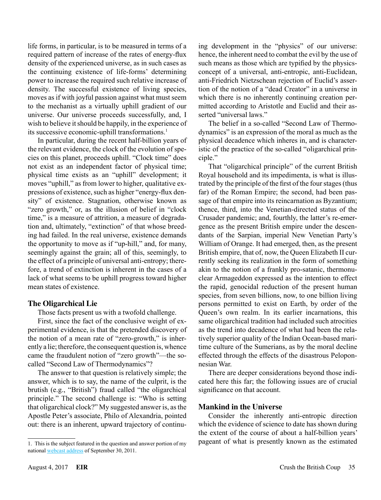life forms, in particular, is to be measured in terms of a required pattern of increase of the rates of energy-flux density of the experienced universe, as in such cases as the continuing existence of life-forms' determining power to increase the required such relative increase of density. The successful existence of living species, moves as if with joyful passion against what must seem to the mechanist as a virtually uphill gradient of our universe. Our universe proceeds successfully, and, I wish to believe it should be happily, in the experience of its successive economic-uphill transformations.<sup>1</sup>

In particular, during the recent half-billion years of the relevant evidence, the clock of the evolution of species on this planet, proceeds uphill. "Clock time" does not exist as an independent factor of physical time; physical time exists as an "uphill" development; it moves "uphill," as from lower to higher, qualitative expressions of existence, such as higher "energy-flux density" of existence. Stagnation, otherwise known as "zero growth," or, as the illusion of belief in "clock time," is a measure of attrition, a measure of degradation and, ultimately, "extinction" of that whose breeding had failed. In the real universe, existence demands the opportunity to move as if "up-hill," and, for many, seemingly against the grain; all of this, seemingly, to the effect of a principle of universal anti-entropy; therefore, a trend of extinction is inherent in the cases of a lack of what seems to be uphill progress toward higher mean states of existence.

#### **The Oligarchical Lie**

Those facts present us with a twofold challenge.

First, since the fact of the conclusive weight of experimental evidence, is that the pretended discovery of the notion of a mean rate of "zero-growth," is inherently a lie; therefore, the consequent question is, whence came the fraudulent notion of "zero growth"—the socalled "Second Law of Thermodynamics"?

The answer to that question is relatively simple; the answer, which is to say, the name of the culprit, is the brutish (e.g., "British") fraud called "the oligarchical principle." The second challenge is: "Who is setting that oligarchical clock?" My suggested answer is, as the Apostle Peter's associate, Philo of Alexandria, pointed out: there is an inherent, upward trajectory of continuing development in the "physics" of our universe: hence, the inherent need to combat the evil by the use of such means as those which are typified by the physicsconcept of a universal, anti-entropic, anti-Euclidean, anti-Friedrich Nietzschean rejection of Euclid's assertion of the notion of a "dead Creator" in a universe in which there is no inherently continuing creation permitted according to Aristotle and Euclid and their asserted "universal laws."

The belief in a so-called "Second Law of Thermodynamics" is an expression of the moral as much as the physical decadence which inheres in, and is characteristic of the practice of the so-called "oligarchical principle."

That "oligarchical principle" of the current British Royal household and its impedimenta, is what is illustrated by the principle of the first of the four stages (thus far) of the Roman Empire; the second, had been passage of that empire into its reincarnation as Byzantium; thence, third, into the Venetian-directed status of the Crusader pandemic; and, fourthly, the latter's re-emergence as the present British empire under the descendants of the Sarpian, imperial New Venetian Party's William of Orange. It had emerged, then, as the present British empire, that of, now, the Queen Elizabeth II currently seeking its realization in the form of something akin to the notion of a frankly pro-satanic, thermonuclear Armageddon expressed as the intention to effect the rapid, genocidal reduction of the present human species, from seven billions, now, to one billion living persons permitted to exist on Earth, by order of the Queen's own realm. In its earlier incarnations, this same oligarchical tradition had included such atrocities as the trend into decadence of what had been the relatively superior quality of the Indian Ocean-based maritime culture of the Sumerians, as by the moral decline effected through the effects of the disastrous Peloponnesian War.

There are deeper considerations beyond those indicated here this far; the following issues are of crucial significance on that account.

#### **Mankind in the Universe**

Consider the inherently anti-entropic direction which the evidence of science to date has shown during the extent of the course of about a half-billion years' pageant of what is presently known as the estimated

<sup>1.</sup> This is the subject featured in the question and answer portion of my national [webcast address](http://www.larouchepac.com/node/19736) of September 30, 2011.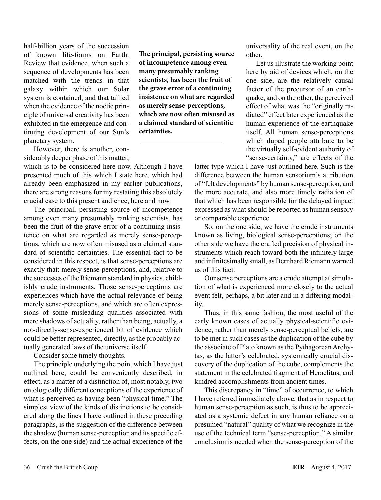half-billion years of the succession of known life-forms on Earth. Review that evidence, when such a sequence of developments has been matched with the trends in that galaxy within which our Solar system is contained, and that tallied when the evidence of the noëtic principle of universal creativity has been exhibited in the emergence and continuing development of our Sun's planetary system.

However, there is another, considerably deeper phase of this matter,

which is to be considered here now. Although I have presented much of this which I state here, which had already been emphasized in my earlier publications, there are strong reasons for my restating this absolutely crucial case to this present audience, here and now.

The principal, persisting source of incompetence among even many presumably ranking scientists, has been the fruit of the grave error of a continuing insistence on what are regarded as merely sense-perceptions, which are now often misused as a claimed standard of scientific certainties. The essential fact to be considered in this respect, is that sense-perceptions are exactly that: merely sense-perceptions, and, relative to the successes of the Riemann standard in physics, childishly crude instruments. Those sense-perceptions are experiences which have the actual relevance of being merely sense-perceptions, and which are often expressions of some misleading qualities associated with mere shadows of actuality, rather than being, actually, a not-directly-sense-experienced bit of evidence which could be better represented, directly, as the probably actually generated laws of the universe itself.

Consider some timely thoughts.

The principle underlying the point which I have just outlined here, could be conveniently described, in effect, as a matter of a distinction of, most notably, two ontologically different conceptions of the experience of what is perceived as having been "physical time." The simplest view of the kinds of distinctions to be considered along the lines I have outlined in these preceding paragraphs, is the suggestion of the difference between the shadow (human sense-perception and its specific effects, on the one side) and the actual experience of the

**The principal, persisting source of incompetence among even many presumably ranking scientists, has been the fruit of the grave error of a continuing insistence on what are regarded as merely sense-perceptions, which are now often misused as a claimed standard of scientific certainties.**

universality of the real event, on the other.

Let us illustrate the working point here by aid of devices which, on the one side, are the relatively causal factor of the precursor of an earthquake, and on the other, the perceived effect of what was the "originally radiated" effect later experienced as the human experience of the earthquake itself. All human sense-perceptions which duped people attribute to be the virtually self-evident authority of "sense-certainty," are effects of the

latter type which I have just outlined here. Such is the difference between the human sensorium's attribution of "felt developments" by human sense-perception, and the more accurate, and also more timely radiation of that which has been responsible for the delayed impact expressed as what should be reported as human sensory or comparable experience.

So, on the one side, we have the crude instruments known as living, biological sense-perceptions; on the other side we have the crafted precision of physical instruments which reach toward both the infinitely large and infinitesimally small, as Bernhard Riemann warned us of this fact.

Our sense perceptions are a crude attempt at simulation of what is experienced more closely to the actual event felt, perhaps, a bit later and in a differing modality.

Thus, in this same fashion, the most useful of the early known cases of actually physical-scientific evidence, rather than merely sense-perceptual beliefs, are to be met in such cases as the duplication of the cube by the associate of Plato known as the Pythagorean Archytas, as the latter's celebrated, systemically crucial discovery of the duplication of the cube, complements the statement in the celebrated fragment of Heraclitus, and kindred accomplishments from ancient times.

This discrepancy in "time" of occurrence, to which I have referred immediately above, that as in respect to human sense-perception as such, is thus to be appreciated as a systemic defect in any human reliance on a presumed "natural" quality of what we recognize in the use of the technical term "sense-perception." A similar conclusion is needed when the sense-perception of the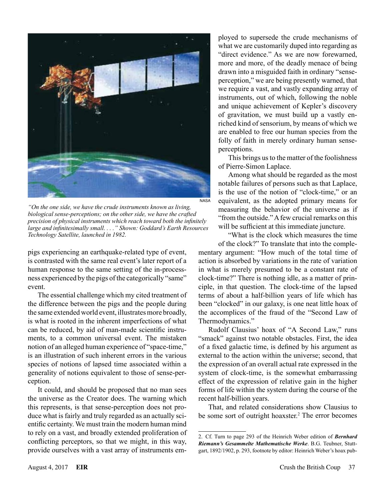

*"On the one side, we have the crude instruments known as living, biological sense-perceptions; on the other side, we have the crafted precision of physical instruments which reach toward both the infinitely large and infinitesimally small. . . ." Shown: Goddard's Earth Resources Technology Satellite, launched in 1982.*

pigs experiencing an earthquake-related type of event, is contrasted with the same real event's later report of a human response to the same setting of the in-processness experienced by the pigs of the categorically "same" event.

The essential challenge which my cited treatment of the difference between the pigs and the people during the same extended world event, illustrates more broadly, is what is rooted in the inherent imperfections of what can be reduced, by aid of man-made scientific instruments, to a common universal event. The mistaken notion of an alleged human experience of "space-time," is an illustration of such inherent errors in the various species of notions of lapsed time associated within a generality of notions equivalent to those of sense-perception.

It could, and should be proposed that no man sees the universe as the Creator does. The warning which this represents, is that sense-perception does not produce what is fairly and truly regarded as an actually scientific certainty. We must train the modern human mind to rely on a vast, and broadly extended proliferation of conflicting perceptors, so that we might, in this way, provide ourselves with a vast array of instruments employed to supersede the crude mechanisms of what we are customarily duped into regarding as "direct evidence." As we are now forewarned, more and more, of the deadly menace of being drawn into a misguided faith in ordinary "senseperception," we are being presently warned, that we require a vast, and vastly expanding array of instruments, out of which, following the noble and unique achievement of Kepler's discovery of gravitation, we must build up a vastly enriched kind of sensorium, by means of which we are enabled to free our human species from the folly of faith in merely ordinary human senseperceptions.

This brings us to the matter of the foolishness of Pierre-Simon Laplace.

Among what should be regarded as the most notable failures of persons such as that Laplace, is the use of the notion of "clock-time," or an equivalent, as the adopted primary means for measuring the behavior of the universe as if "from the outside." A few crucial remarks on this will be sufficient at this immediate juncture.

"What is the clock which measures the time of the clock?" To translate that into the complementary argument: "How much of the total time of action is absorbed by variations in the rate of variation in what is merely presumed to be a constant rate of clock-time?" There is nothing idle, as a matter of principle, in that question. The clock-time of the lapsed terms of about a half-billion years of life which has been "clocked" in our galaxy, is one neat little hoax of the accomplices of the fraud of the "Second Law of Thermodynamics."

Rudolf Clausius' hoax of "A Second Law," runs "smack" against two notable obstacles. First, the idea of a fixed galactic time, is defined by his argument as external to the action within the universe; second, that the expression of an overall actual rate expressed in the system of clock-time, is the somewhat embarrassing effect of the expression of relative gain in the higher forms of life within the system during the course of the recent half-billion years.

That, and related considerations show Clausius to be some sort of outright hoaxster.<sup>2</sup> The error becomes

<sup>2.</sup> Cf. Turn to page 293 of the Heinrich Weber edition of *Bernhard Riemann's Gesammelte Mathematische Werke*. B.G. Teubner, Stuttgart, 1892/1902, p. 293, footnote by editor: Heinrich Weber's hoax pub-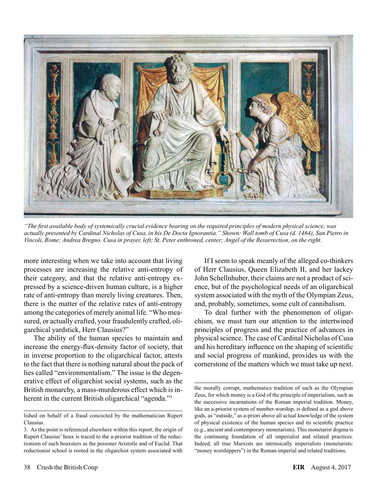

*"The first available body of systemically crucial evidence bearing on the required principles of modern physical science, was actually presented by Cardinal Nicholas of Cusa, in his De Docta Ignorantia." Shown: Wall tomb of Cusa (d. 1464), San Pietro in Vincoli, Rome; Andrea Bregno. Cusa in prayer, left; St. Peter enthroned, center; Angel of the Resurrection, on the right.*

more interesting when we take into account that living processes are increasing the relative anti-entropy of their category, and that the relative anti-entropy expressed by a science-driven human culture, is a higher rate of anti-entropy than merely living creatures. Then, there is the matter of the relative rates of anti-entropy among the categories of merely animal life. "Who measured, or actually crafted, your fraudulently crafted, oligarchical yardstick, Herr Clausius?"

The ability of the human species to maintain and increase the energy-flux-density factor of society, that in inverse proportion to the oligarchical factor, attests to the fact that there is nothing natural about the pack of lies called "environmentalism." The issue is the degenerative effect of oligarchist social systems, such as the British monarchy, a mass-murderous effect which is inherent in the current British oligarchical "agenda."<sup>3</sup>

If I seem to speak meanly of the alleged co-thinkers of Herr Clausius, Queen Elizabeth II, and her lackey John Schellnhuber, their claims are not a product of science, but of the psychological needs of an oligarchical system associated with the myth of the Olympian Zeus, and, probably, sometimes, some cult of cannibalism.

To deal further with the phenomenon of oligarchism, we must turn our attention to the intertwined principles of progress and the practice of advances in physical science. The case of Cardinal Nicholas of Cusa and his hereditary influence on the shaping of scientific and social progress of mankind, provides us with the cornerstone of the matters which we must take up next.

lished on behalf of a fraud concocted by the mathematician Rupert Clausius.

<sup>3.</sup> As the point is referenced elsewhere within this report, the origin of Rupert Clausius' hoax is traced to the a-priorist tradition of the reductionism of such hoaxsters as the poisoner Aristotle and of Euclid. That reductionist school is rooted in the oligarchist system associated with

the morally corrupt, mathematics tradition of such as the Olympian Zeus, for which money is a God of the principle of imperialism, such as the successive incarnations of the Roman imperial tradition. Money, like an a-priorist system of number-worship, is defined as a god above gods, as "outside," as a-priori above all actual knowledge of the system of physical existence of the human species and its scientific practice (e.g., ancient and contemporary monetarism). This monetarist dogma is the continuing foundation of all imperialist and related practices. Indeed, all true Marxists are intrinsically imperialists (monetarists: "money worshippers") in the Roman imperial and related traditions.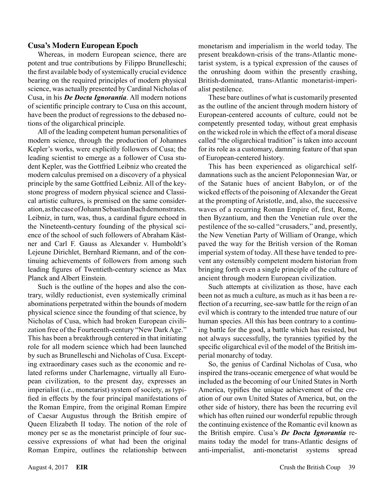#### **Cusa's Modern European Epoch**

Whereas, in modern European science, there are potent and true contributions by Filippo Brunelleschi; the first available body of systemically crucial evidence bearing on the required principles of modern physical science, was actually presented by Cardinal Nicholas of Cusa, in his *De Docta Ignorantia*. All modern notions of scientific principle contrary to Cusa on this account, have been the product of regressions to the debased notions of the oligarchical principle.

All of the leading competent human personalities of modern science, through the production of Johannes Kepler's works, were explicitly followers of Cusa; the leading scientist to emerge as a follower of Cusa student Kepler, was the Gottfried Leibniz who created the modern calculus premised on a discovery of a physical principle by the same Gottfried Leibniz. All of the keystone progress of modern physical science and Classical artistic cultures, is premised on the same consideration, as the case of Johann Sebastian Bach demonstrates. Leibniz, in turn, was, thus, a cardinal figure echoed in the Nineteenth-century founding of the physical science of the school of such followers of Abraham Kästner and Carl F. Gauss as Alexander v. Humboldt's Lejeune Dirichlet, Bernhard Riemann, and of the continuing achievements of followers from among such leading figures of Twentieth-century science as Max Planck and Albert Einstein.

Such is the outline of the hopes and also the contrary, wildly reductionist, even systemically criminal abominations perpetrated within the bounds of modern physical science since the founding of that science, by Nicholas of Cusa, which had broken European civilization free of the Fourteenth-century "New Dark Age." This has been a breakthrough centered in that initiating role for all modern science which had been launched by such as Brunelleschi and Nicholas of Cusa. Excepting extraordinary cases such as the economic and related reforms under Charlemagne, virtually all European civilization, to the present day, expresses an imperialist (i.e., monetarist) system of society, as typified in effects by the four principal manifestations of the Roman Empire, from the original Roman Empire of Caesar Augustus through the British empire of Queen Elizabeth II today. The notion of the role of money per se as the monetarist principle of four successive expressions of what had been the original Roman Empire, outlines the relationship between

monetarism and imperialism in the world today. The present breakdown-crisis of the trans-Atlantic monetarist system, is a typical expression of the causes of the onrushing doom within the presently crashing, British-dominated, trans-Atlantic monetarist-imperialist pestilence.

These bare outlines of what is customarily presented as the outline of the ancient through modern history of European-centered accounts of culture, could not be competently presented today, without great emphasis on the wicked role in which the effect of a moral disease called "the oligarchical tradition" is taken into account for its role as a customary, damning feature of that span of European-centered history.

This has been experienced as oligarchical selfdamnations such as the ancient Peloponnesian War, or of the Satanic hues of ancient Babylon, or of the wicked effects of the poisoning of Alexander the Great at the prompting of Aristotle, and, also, the successive waves of a recurring Roman Empire of, first, Rome, then Byzantium, and then the Venetian rule over the pestilence of the so-called "crusaders," and, presently, the New Venetian Party of William of Orange, which paved the way for the British version of the Roman imperial system of today. All these have tended to prevent any ostensibly competent modern historian from bringing forth even a single principle of the culture of ancient through modern European civilization.

Such attempts at civilization as those, have each been not as much a culture, as much as it has been a reflection of a recurring, see-saw battle for the reign of an evil which is contrary to the intended true nature of our human species. All this has been contrary to a continuing battle for the good, a battle which has resisted, but not always successfully, the tyrannies typified by the specific oligarchical evil of the model of the British imperial monarchy of today.

So, the genius of Cardinal Nicholas of Cusa, who inspired the trans-oceanic emergence of what would be included as the becoming of our United States in North America, typifies the unique achievement of the creation of our own United States of America, but, on the other side of history, there has been the recurring evil which has often ruined our wonderful republic through the continuing existence of the Romantic evil known as the British empire. Cusa's *De Docta Ignorantia* remains today the model for trans-Atlantic designs of anti-imperialist, anti-monetarist systems spread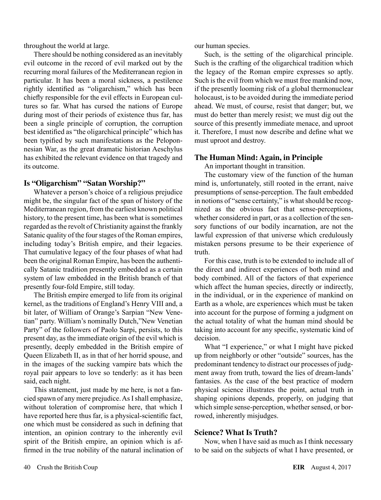throughout the world at large.

There should be nothing considered as an inevitably evil outcome in the record of evil marked out by the recurring moral failures of the Mediterranean region in particular. It has been a moral sickness, a pestilence rightly identified as "oligarchism," which has been chiefly responsible for the evil effects in European cultures so far. What has cursed the nations of Europe during most of their periods of existence thus far, has been a single principle of corruption, the corruption best identified as "the oligarchical principle" which has been typified by such manifestations as the Peloponnesian War, as the great dramatic historian Aeschylus has exhibited the relevant evidence on that tragedy and its outcome.

#### **Is "Oligarchism" "Satan Worship?"**

Whatever a person's choice of a religious prejudice might be, the singular fact of the span of history of the Mediterranean region, from the earliest known political history, to the present time, has been what is sometimes regarded as the revolt of Christianity against the frankly Satanic quality of the four stages of the Roman empires, including today's British empire, and their legacies. That cumulative legacy of the four phases of what had been the original Roman Empire, has been the authentically Satanic tradition presently embedded as a certain system of law embedded in the British branch of that presently four-fold Empire, still today.

The British empire emerged to life from its original kernel, as the traditions of England's Henry VIII and, a bit later, of William of Orange's Sarpian "New Venetian" party. William's nominally Dutch,"New Venetian Party" of the followers of Paolo Sarpi, persists, to this present day, as the immediate origin of the evil which is presently, deeply embedded in the British empire of Queen Elizabeth II, as in that of her horrid spouse, and in the images of the sucking vampire bats which the royal pair appears to love so tenderly: as it has been said, each night.

This statement, just made by me here, is not a fancied spawn of any mere prejudice. As I shall emphasize, without toleration of compromise here, that which I have reported here thus far, is a physical-scientific fact, one which must be considered as such in defining that intention, an opinion contrary to the inherently evil spirit of the British empire, an opinion which is affirmed in the true nobility of the natural inclination of our human species.

Such, is the setting of the oligarchical principle. Such is the crafting of the oligarchical tradition which the legacy of the Roman empire expresses so aptly. Such is the evil from which we must free mankind now, if the presently looming risk of a global thermonuclear holocaust, is to be avoided during the immediate period ahead. We must, of course, resist that danger; but, we must do better than merely resist; we must dig out the source of this presently immediate menace, and uproot it. Therefore, I must now describe and define what we must uproot and destroy.

#### **The Human Mind: Again, in Principle**

An important thought in transition.

The customary view of the function of the human mind is, unfortunately, still rooted in the errant, naive presumptions of sense-perception. The fault embedded in notions of "sense certainty," is what should be recognized as the obvious fact that sense-perceptions, whether considered in part, or as a collection of the sensory functions of our bodily incarnation, are not the lawful expression of that universe which credulously mistaken persons presume to be their experience of truth.

For this case, truth is to be extended to include all of the direct and indirect experiences of both mind and body combined. All of the factors of that experience which affect the human species, directly or indirectly, in the individual, or in the experience of mankind on Earth as a whole, are experiences which must be taken into account for the purpose of forming a judgment on the actual totality of what the human mind should be taking into account for any specific, systematic kind of decision.

What "I experience," or what I might have picked up from neighborly or other "outside" sources, has the predominant tendency to distract our processes of judgment away from truth, toward the lies of dream-lands' fantasies. As the case of the best practice of modern physical science illustrates the point, actual truth in shaping opinions depends, properly, on judging that which simple sense-perception, whether sensed, or borrowed, inherently misjudges.

#### **Science? What Is Truth?**

Now, when I have said as much as I think necessary to be said on the subjects of what I have presented, or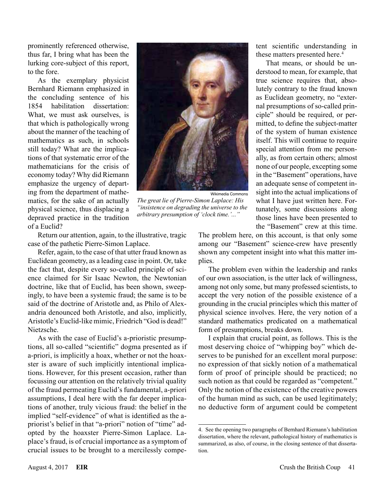prominently referenced otherwise, thus far, I bring what has been the lurking core-subject of this report, to the fore.

As the exemplary physicist Bernhard Riemann emphasized in the concluding sentence of his 1854 habilitation dissertation: What, we must ask ourselves, is that which is pathologically wrong about the manner of the teaching of mathematics as such, in schools still today? What are the implications of that systematic error of the mathematicians for the crisis of economy today? Why did Riemann emphasize the urgency of departing from the department of mathematics, for the sake of an actually physical science, thus displacing a depraved practice in the tradition of a Euclid?



*The great lie of Pierre-Simon Laplace: His "insistence on degrading the universe to the arbitrary presumption of 'clock time.'..."*

tent scientific understanding in these matters presented here.<sup>4</sup>

That means, or should be understood to mean, for example, that true science requires that, absolutely contrary to the fraud known as Euclidean geometry, no "external presumptions of so-called principle" should be required, or permitted, to define the subject-matter of the system of human existence itself. This will continue to require special attention from me personally, as from certain others; almost none of our people, excepting some in the "Basement" operations, have an adequate sense of competent insight into the actual implications of what I have just written here. Fortunately, some discussions along those lines have been presented to the "Basement" crew at this time.

Return our attention, again, to the illustrative, tragic case of the pathetic Pierre-Simon Laplace.

Refer, again, to the case of that utter fraud known as Euclidean geometry, as a leading case in point. Or, take the fact that, despite every so-called principle of science claimed for Sir Isaac Newton, the Newtonian doctrine, like that of Euclid, has been shown, sweepingly, to have been a systemic fraud; the same is to be said of the doctrine of Aristotle and, as Philo of Alexandria denounced both Aristotle, and also, implicitly, Aristotle's Euclid-like mimic, Friedrich "God is dead!" Nietzsche.

As with the case of Euclid's a-prioristic presumptions, all so-called "scientific" dogma presented as if a-priori, is implicitly a hoax, whether or not the hoaxster is aware of such implicitly intentional implications. However, for this present occasion, rather than focussing our attention on the relatively trivial quality of the fraud permeating Euclid's fundamental, a-priori assumptions, I deal here with the far deeper implications of another, truly vicious fraud: the belief in the implied "self-evidence" of what is identified as the apriorist's belief in that "a-priori" notion of "time" adopted by the hoaxster Pierre-Simon Laplace. Laplace's fraud, is of crucial importance as a symptom of crucial issues to be brought to a mercilessly compeThe problem here, on this account, is that only some among our "Basement" science-crew have presently shown any competent insight into what this matter implies.

The problem even within the leadership and ranks of our own association, is the utter lack of willingness, among not only some, but many professed scientists, to accept the very notion of the possible existence of a grounding in the crucial principles which this matter of physical science involves. Here, the very notion of a standard mathematics predicated on a mathematical form of presumptions, breaks down.

I explain that crucial point, as follows. This is the most deserving choice of "whipping boy" which deserves to be punished for an excellent moral purpose: no expression of that sickly notion of a mathematical form of proof of principle should be practiced; no such notion as that could be regarded as "competent." Only the notion of the existence of the creative powers of the human mind as such, can be used legitimately; no deductive form of argument could be competent

<sup>4.</sup> See the opening two paragraphs of Bernhard Riemann's habilitation dissertation, where the relevant, pathological history of mathematics is summarized, as also, of course, in the closing sentence of that dissertation.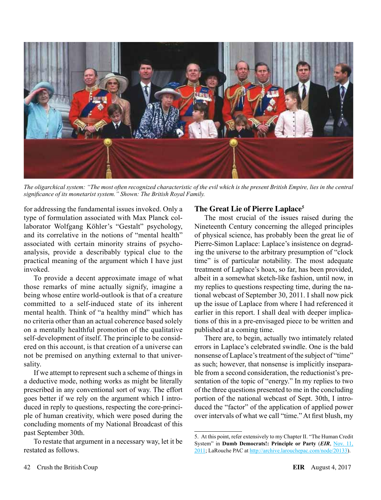

*The oligarchical system: "The most often recognized characteristic of the evil which is the present British Empire, lies in the central significance of its monetarist system." Shown: The British Royal Family.* 

for addressing the fundamental issues invoked. Only a type of formulation associated with Max Planck collaborator Wolfgang Köhler's "Gestalt" psychology, and its correlative in the notions of "mental health" associated with certain minority strains of psychoanalysis, provide a describably typical clue to the practical meaning of the argument which I have just invoked.

To provide a decent approximate image of what those remarks of mine actually signify, imagine a being whose entire world-outlook is that of a creature committed to a self-induced state of its inherent mental health. Think of "a healthy mind" which has no criteria other than an actual coherence based solely on a mentally healthful promotion of the qualitative self-development of itself. The principle to be considered on this account, is that creation of a universe can not be premised on anything external to that universality.

If we attempt to represent such a scheme of things in a deductive mode, nothing works as might be literally prescribed in any conventional sort of way. The effort goes better if we rely on the argument which I introduced in reply to questions, respecting the core-principle of human creativity, which were posed during the concluding moments of my National Broadcast of this past September 30th.

To restate that argument in a necessary way, let it be restated as follows.

#### **The Great Lie of Pierre Laplace5**

The most crucial of the issues raised during the Nineteenth Century concerning the alleged principles of physical science, has probably been the great lie of Pierre-Simon Laplace: Laplace's insistence on degrading the universe to the arbitrary presumption of "clock time" is of particular notability. The most adequate treatment of Laplace's hoax, so far, has been provided, albeit in a somewhat sketch-like fashion, until now, in my replies to questions respecting time, during the national webcast of September 30, 2011. I shall now pick up the issue of Laplace from where I had referenced it earlier in this report. I shall deal with deeper implications of this in a pre-envisaged piece to be written and published at a coming time.

There are, to begin, actually two intimately related errors in Laplace's celebrated swindle. One is the bald nonsense of Laplace's treatment of the subject of "time" as such; however, that nonsense is implicitly inseparable from a second consideration, the reductionist's presentation of the topic of "energy." In my replies to two of the three questions presented to me in the concluding portion of the national webcast of Sept. 30th, I introduced the "factor" of the application of applied power over intervals of what we call "time." At first blush, my

<sup>5.</sup> At this point, refer extensively to my Chapter II. "The Human Credit System" in **Dumb Democrats!: Principle or Party** (*EIR*, [Nov. 11,](http://www.larouchepub.com/lar/2011/3844principle_or_party.html)  [2011;](http://www.larouchepub.com/lar/2011/3844principle_or_party.html) LaRouche PAC at <http://archive.larouchepac.com/node/20133>).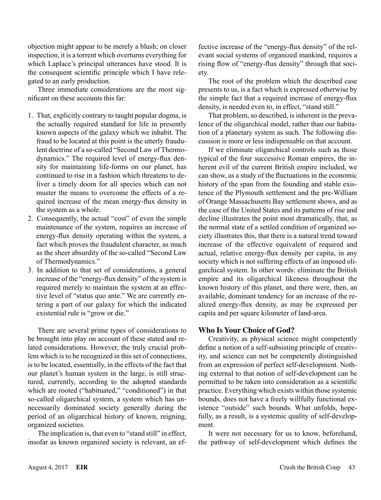objection might appear to be merely a blush; on closer inspection, it is a torrent which overturns everything for which Laplace's principal utterances have stood. It is the consequent scientific principle which I have relegated to an early production.

Three immediate considerations are the most significant on these accounts this far:

- 1. That, explicitly contrary to taught popular dogma, is the actually required standard for life in presently known aspects of the galaxy which we inhabit. The fraud to be located at this point is the utterly fraudulent doctrine of a so-called "Second Law of Thermodynamics." The required level of energy-flux density for maintaining life-forms on our planet, has continued to rise in a fashion which threatens to deliver a timely doom for all species which can not muster the means to overcome the effects of a required increase of the mean energy-flux density in the system as a whole.
- 2. Consequently, the actual "cost" of even the simple maintenance of the system, requires an increase of energy-flux density operating within the system, a fact which proves the fraudulent character, as much as the sheer absurdity of the so-called "Second Law of Thermodynamics."
- 3. In addition to that set of considerations, a general increase of the "energy-flux density" of the system is required merely to maintain the system at an effective level of "status quo ante." We are currently entering a part of our galaxy for which the indicated existential rule is "grow or die."

There are several prime types of considerations to be brought into play on account of these stated and related considerations. However, the truly crucial problem which is to be recognized in this set of connections, is to be located, essentially, in the effects of the fact that our planet's human system in the large, is still structured, currently, according to the adopted standards which are rooted ("habituated," "conditioned") in that so-called oligarchical system, a system which has unnecessarily dominated society generally during the period of an oligarchical history of known, reigning, organized societies.

The implication is, that even to "stand still" in effect, insofar as known organized society is relevant, an effective increase of the "energy-flux density" of the relevant social systems of organized mankind, requires a rising flow of "energy-flux density" through that society.

The root of the problem which the described case presents to us, is a fact which is expressed otherwise by the simple fact that a required increase of energy-flux density, is needed even to, in effect, "stand still."

That problem, so described, is inherent in the prevalence of the oligarchical model, rather than our habitation of a planetary system as such. The following discussion is more or less indispensable on that account.

If we eliminate oligarchical controls such as those typical of the four successive Roman empires, the inherent evil of the current British empire included, we can show, as a study of the fluctuations in the economic history of the span from the founding and stable existence of the Plymouth settlement and the pre-William of Orange Massachusetts Bay settlement shows, and as the case of the United States and its patterns of rise and decline illustrates the point most dramatically, that, as the normal state of a settled condition of organized society illustrates this, that there is a natural trend toward increase of the effective equivalent of required and actual, relative energy-flux density per capita, in any society which is not suffering effects of an imposed oligarchical system. In other words: eliminate the British empire and its oligarchical likeness throughout the known history of this planet, and there were, then, an available, dominant tendency for an increase of the realized energy-flux density, as may be expressed per capita and per square kilometer of land-area.

#### **Who Is Your Choice of God?**

Creativity, as physical science might competently define a notion of a self-subsisting principle of creativity, and science can not be competently distinguished from an expression of perfect self-development. Nothing external to that notion of self-development can be permitted to be taken into consideration as a scientific practice. Everything which exists within those systemic bounds, does not have a freely willfully functional existence "outside" such bounds. What unfolds, hopefully, as a result, is a systemic quality of self-development.

It were not necessary for us to know, beforehand, the pathway of self-development which defines the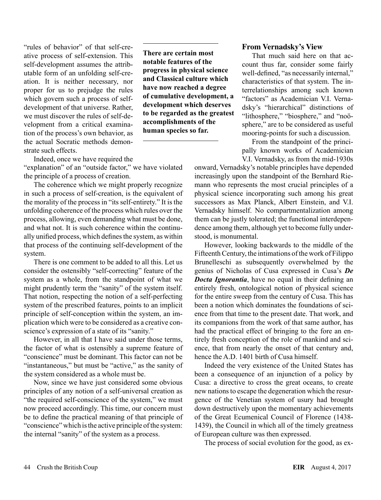"rules of behavior" of that self-creative process of self-extension. This self-development assumes the attributable form of an unfolding self-creation. It is neither necessary, nor proper for us to prejudge the rules which govern such a process of selfdevelopment of that universe. Rather, we must discover the rules of self-development from a critical examination of the process's own behavior, as the actual Socratic methods demonstrate such effects.

**There are certain most notable features of the progress in physical science and Classical culture which have now reached a degree of cumulative development, a development which deserves to be regarded as the greatest accomplishments of the human species so far.**

Indeed, once we have required the

"explanation" of an "outside factor," we have violated the principle of a process of creation.

The coherence which we might properly recognize in such a process of self-creation, is the equivalent of the morality of the process in "its self-entirety." It is the unfolding coherence of the process which rules over the process, allowing, even demanding what must be done, and what not. It is such coherence within the continually unified process, which defines the system, as within that process of the continuing self-development of the system.

There is one comment to be added to all this. Let us consider the ostensibly "self-correcting" feature of the system as a whole, from the standpoint of what we might prudently term the "sanity" of the system itself. That notion, respecting the notion of a self-perfecting system of the prescribed features, points to an implicit principle of self-conception within the system, an implication which were to be considered as a creative conscience's expression of a state of its "sanity."

However, in all that I have said under those terms, the factor of what is ostensibly a supreme feature of "conscience" must be dominant. This factor can not be "instantaneous," but must be "active," as the sanity of the system considered as a whole must be.

Now, since we have just considered some obvious principles of any notion of a self-universal creation as "the required self-conscience of the system," we must now proceed accordingly. This time, our concern must be to define the practical meaning of that principle of "conscience" which is the active principle of the system: the internal "sanity" of the system as a process.

#### **From Vernadsky's View**

That much said here on that account thus far, consider some fairly well-defined, "as necessarily internal," characteristics of that system. The interrelationships among such known "factors" as Academician V.I. Vernadsky's "hierarchical" distinctions of "lithosphere," "biosphere," and "noösphere," are to be considered as useful mooring-points for such a discussion.

From the standpoint of the principally known works of Academician V.I. Vernadsky, as from the mid-1930s

onward, Vernadsky's notable principles have depended increasingly upon the standpoint of the Bernhard Riemann who represents the most crucial principles of a physical science incorporating such among his great successors as Max Planck, Albert Einstein, and V.I. Vernadsky himself. No compartmentalization among them can be justly tolerated; the functional interdependence among them, although yet to become fully understood, is monumental.

However, looking backwards to the middle of the Fifteenth Century, the intimations of the work of Filippo Brunelleschi as subsequently overwhelmed by the genius of Nicholas of Cusa expressed in Cusa's *De Docta Ignorantia*, have no equal in their defining an entirely fresh, ontological notion of physical science for the entire sweep from the century of Cusa. This has been a notion which dominates the foundations of science from that time to the present date. That work, and its companions from the work of that same author, has had the practical effect of bringing to the fore an entirely fresh conception of the role of mankind and science, that from nearly the onset of that century and, hence the A.D. 1401 birth of Cusa himself.

Indeed the very existence of the United States has been a consequence of an injunction of a policy by Cusa: a directive to cross the great oceans, to create new nations to escape the degeneration which the resurgence of the Venetian system of usury had brought down destructively upon the momentary achievements of the Great Ecumenical Council of Florence (1438- 1439), the Council in which all of the timely greatness of European culture was then expressed.

The process of social evolution for the good, as ex-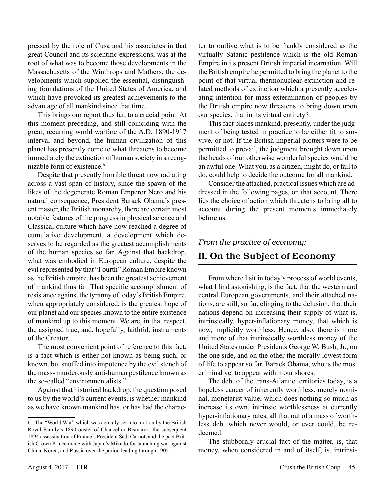pressed by the role of Cusa and his associates in that great Council and its scientific expressions, was at the root of what was to become those developments in the Massachusetts of the Winthrops and Mathers, the developments which supplied the essential, distinguishing foundations of the United States of America, and which have provoked its greatest achievements to the advantage of all mankind since that time.

This brings our report thus far, to a crucial point. At this moment preceding, and still coinciding with the great, recurring world warfare of the A.D. 1890-1917 interval and beyond, the human civilization of this planet has presently come to what threatens to become immediately the extinction of human society in a recognizable form of existence.<sup>6</sup>

Despite that presently horrible threat now radiating across a vast span of history, since the spawn of the likes of the degenerate Roman Emperor Nero and his natural consequence, President Barack Obama's present master, the British monarchy, there are certain most notable features of the progress in physical science and Classical culture which have now reached a degree of cumulative development, a development which deserves to be regarded as the greatest accomplishments of the human species so far. Against that backdrop, what was embodied in European culture, despite the evil represented by that "Fourth" Roman Empire known as the British empire, has been the greatest achievement of mankind thus far. That specific accomplishment of resistance against the tyranny of today's British Empire, when appropriately considered, is the greatest hope of our planet and our species known to the entire existence of mankind up to this moment. We are, in that respect, the assigned true, and, hopefully, faithful, instruments of the Creator.

The most convenient point of reference to this fact, is a fact which is either not known as being such, or known, but snuffed into impotence by the evil stench of the mass- murderously anti-human pestilence known as the so-called "environmentalists."

Against that historical backdrop, the question posed to us by the world's current events, is whether mankind as we have known mankind has, or has had the character to outlive what is to be frankly considered as the virtually Satanic pestilence which is the old Roman Empire in its present British imperial incarnation. Will the British empire be permitted to bring the planet to the point of that virtual thermonuclear extinction and related methods of extinction which a presently accelerating intention for mass-extermination of peoples by the British empire now threatens to bring down upon our species, that in its virtual entirety?

This fact places mankind, presently, under the judgment of being tested in practice to be either fit to survive, or not. If the British imperial plotters were to be permitted to prevail, the judgment brought down upon the heads of our otherwise wonderful species would be an awful one. What you, as a citizen, might do, or fail to do, could help to decide the outcome for all mankind.

Consider the attached, practical issues which are addressed in the following pages, on that account. There lies the choice of action which threatens to bring all to account during the present moments immediately before us.

#### *From the practice of economy:*

# II. On the Subject of Economy

From where I sit in today's process of world events, what I find astonishing, is the fact, that the western and central European governments, and their attached nations, are still, so far, clinging to the delusion, that their nations depend on increasing their supply of what is, intrinsically, hyper-inflationary money, that which is now, implicitly worthless. Hence, also, there is more and more of that intrinsically worthless money of the United States under Presidents George W. Bush, Jr., on the one side, and on the other the morally lowest form of life to appear so far, Barack Obama, who is the most criminal yet to appear within our shores.

The debt of the trans-Atlantic territories today, is a hopeless cancer of inherently worthless, merely nominal, monetarist value, which does nothing so much as increase its own, intrinsic worthlessness at currently hyper-inflationary rates, all that out of a mass of worthless debt which never would, or ever could, be redeemed.

The stubbornly crucial fact of the matter, is, that money, when considered in and of itself, is, intrinsi-

<sup>6.</sup> The "World War" which was actually set into motion by the British Royal Family's 1890 ouster of Chancellor Bismarck, the subsequent 1894 assassination of France's President Sadi Carnot, and the pact British Crown Prince made with Japan's Mikado for launching war against China, Korea, and Russia over the period leading through 1905.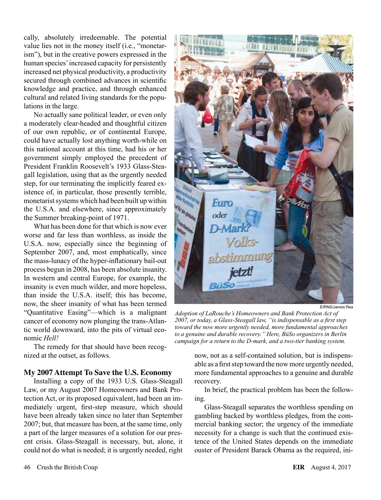cally, absolutely irredeemable. The potential value lies not in the money itself (i.e., "monetarism"), but in the creative powers expressed in the human species' increased capacity for persistently increased net physical productivity, a productivity secured through combined advances in scientific knowledge and practice, and through enhanced cultural and related living standards for the populations in the large.

No actually sane political leader, or even only a moderately clear-headed and thoughtful citizen of our own republic, or of continental Europe, could have actually lost anything worth-while on this national account at this time, had his or her government simply employed the precedent of President Franklin Roosevelt's 1933 Glass-Steagall legislation, using that as the urgently needed step, for our terminating the implicitly feared existence of, in particular, those presently terrible, monetarist systems which had been built up within the U.S.A. and elsewhere, since approximately the Summer breaking-point of 1971.

What has been done for that which is now ever worse and far less than worthless, as inside the U.S.A. now, especially since the beginning of September 2007, and, most emphatically, since the mass-lunacy of the hyper-inflationary bail-out process begun in 2008, has been absolute insanity. In western and central Europe, for example, the insanity is even much wilder, and more hopeless, than inside the U.S.A. itself; this has become, now, the sheer insanity of what has been termed "Quantitative Easing"—which is a malignant cancer of economy now plunging the trans-Atlantic world downward, into the pits of virtual economic *Hell!*

The remedy for that should have been recognized at the outset, as follows.

#### **My 2007 Attempt To Save the U.S. Economy**

Installing a copy of the 1933 U.S. Glass-Steagall Law, or my August 2007 Homeowners and Bank Protection Act, or its proposed equivalent, had been an immediately urgent, first-step measure, which should have been already taken since no later than September 2007; but, that measure has been, at the same time, only a part of the larger measures of a solution for our present crisis. Glass-Steagall is necessary, but, alone, it could not do what is needed; it is urgently needed, right



EIRNS/James Rea

*Adoption of LaRouche's Homeowners and Bank Protection Act of 2007, or today, a Glass-Steagall law, "is indispensable as a first step toward the now more urgently needed, more fundamental approaches to a genuine and durable recovery." Here, BüSo organizers in Berlin campaign for a return to the D-mark, and a two-tier banking system.*

now, not as a self-contained solution, but is indispensable as a first step toward the now more urgently needed, more fundamental approaches to a genuine and durable recovery.

In brief, the practical problem has been the following.

Glass-Steagall separates the worthless spending on gambling backed by worthless pledges, from the commercial banking sector; the urgency of the immediate necessity for a change is such that the continued existence of the United States depends on the immediate ouster of President Barack Obama as the required, ini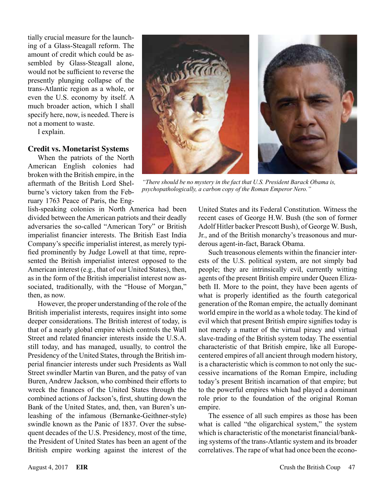tially crucial measure for the launching of a Glass-Steagall reform. The amount of credit which could be assembled by Glass-Steagall alone, would not be sufficient to reverse the presently plunging collapse of the trans-Atlantic region as a whole, or even the U.S. economy by itself. A much broader action, which I shall specify here, now, is needed. There is not a moment to waste.

I explain.

#### **Credit vs. Monetarist Systems**

When the patriots of the North American English colonies had broken with the British empire, in the aftermath of the British Lord Shelburne's victory taken from the February 1763 Peace of Paris, the Eng-



*"There should be no mystery in the fact that U.S. President Barack Obama is, psychopathologically, a carbon copy of the Roman Emperor Nero."*

lish-speaking colonies in North America had been divided between the American patriots and their deadly adversaries the so-called "American Tory" or British imperialist financier interests. The British East India Company's specific imperialist interest, as merely typified prominently by Judge Lowell at that time, represented the British imperialist interest opposed to the American interest (e.g., that of our United States), then, as in the form of the British imperialist interest now associated, traditionally, with the "House of Morgan," then, as now.

However, the proper understanding of the role of the British imperialist interests, requires insight into some deeper considerations. The British interest of today, is that of a nearly global empire which controls the Wall Street and related financier interests inside the U.S.A. still today, and has managed, usually, to control the Presidency of the United States, through the British imperial financier interests under such Presidents as Wall Street swindler Martin van Buren, and the patsy of van Buren, Andrew Jackson, who combined their efforts to wreck the finances of the United States through the combined actions of Jackson's, first, shutting down the Bank of the United States, and, then, van Buren's unleashing of the infamous (Bernanke-Geithner-style) swindle known as the Panic of 1837. Over the subsequent decades of the U.S. Presidency, most of the time, the President of United States has been an agent of the British empire working against the interest of the

United States and its Federal Constitution. Witness the recent cases of George H.W. Bush (the son of former Adolf Hitler backer Prescott Bush), of George W. Bush, Jr., and of the British monarchy's treasonous and murderous agent-in-fact, Barack Obama.

Such treasonous elements within the financier interests of the U.S. political system, are not simply bad people; they are intrinsically evil, currently witting agents of the present British empire under Queen Elizabeth II. More to the point, they have been agents of what is properly identified as the fourth categorical generation of the Roman empire, the actually dominant world empire in the world as a whole today. The kind of evil which that present British empire signifies today is not merely a matter of the virtual piracy and virtual slave-trading of the British system today. The essential characteristic of that British empire, like all Europecentered empires of all ancient through modern history, is a characteristic which is common to not only the successive incarnations of the Roman Empire, including today's present British incarnation of that empire; but to the powerful empires which had played a dominant role prior to the foundation of the original Roman empire.

The essence of all such empires as those has been what is called "the oligarchical system," the system which is characteristic of the monetarist financial/banking systems of the trans-Atlantic system and its broader correlatives. The rape of what had once been the econo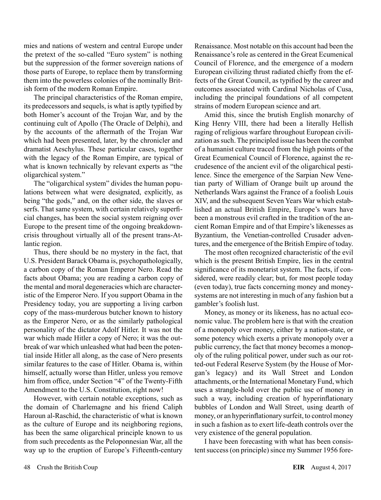mies and nations of western and central Europe under the pretext of the so-called "Euro system" is nothing but the suppression of the former sovereign nations of those parts of Europe, to replace them by transforming them into the powerless colonies of the nominally British form of the modern Roman Empire.

The principal characteristics of the Roman empire, its predecessors and sequels, is what is aptly typified by both Homer's account of the Trojan War, and by the continuing cult of Apollo (The Oracle of Delphi), and by the accounts of the aftermath of the Trojan War which had been presented, later, by the chronicler and dramatist Aeschylus. These particular cases, together with the legacy of the Roman Empire, are typical of what is known technically by relevant experts as "the oligarchical system."

The "oligarchical system" divides the human populations between what were designated, explicitly, as being "the gods," and, on the other side, the slaves or serfs. That same system, with certain relatively superficial changes, has been the social system reigning over Europe to the present time of the ongoing breakdowncrisis throughout virtually all of the present trans-Atlantic region.

Thus, there should be no mystery in the fact, that U.S. President Barack Obama is, psychopathologically, a carbon copy of the Roman Emperor Nero. Read the facts about Obama; you are reading a carbon copy of the mental and moral degeneracies which are characteristic of the Emperor Nero. If you support Obama in the Presidency today, you are supporting a living carbon copy of the mass-murderous butcher known to history as the Emperor Nero, or as the similarly pathological personality of the dictator Adolf Hitler. It was not the war which made Hitler a copy of Nero; it was the outbreak of war which unleashed what had been the potential inside Hitler all along, as the case of Nero presents similar features to the case of Hitler. Obama is, within himself, actually worse than Hitler, unless you remove him from office, under Section "4" of the Twenty-Fifth Amendment to the U.S. Constitution, right now!

However, with certain notable exceptions, such as the domain of Charlemagne and his friend Caliph Haroun al-Raschid, the characteristic of what is known as the culture of Europe and its neighboring regions, has been the same oligarchical principle known to us from such precedents as the Peloponnesian War, all the way up to the eruption of Europe's Fifteenth-century Renaissance. Most notable on this account had been the Renaissance's role as centered in the Great Ecumenical Council of Florence, and the emergence of a modern European civilizing thrust radiated chiefly from the effects of the Great Council, as typified by the career and outcomes associated with Cardinal Nicholas of Cusa, including the principal foundations of all competent strains of modern European science and art.

Amid this, since the brutish English monarchy of King Henry VIII, there had been a literally Hellish raging of religious warfare throughout European civilization as such. The principled issue has been the combat of a humanist culture traced from the high points of the Great Ecumenical Council of Florence, against the recrudesence of the ancient evil of the oligarchical pestilence. Since the emergence of the Sarpian New Venetian party of William of Orange built up around the Netherlands Wars against the France of a foolish Louis XIV, and the subsequent Seven Years War which established an actual British Empire, Europe's wars have been a monstrous evil crafted in the tradition of the ancient Roman Empire and of that Empire's likenesses as Byzantium, the Venetian-controlled Crusader adventures, and the emergence of the British Empire of today.

The most often recognized characteristic of the evil which is the present British Empire, lies in the central significance of its monetarist system. The facts, if considered, were readily clear; but, for most people today (even today), true facts concerning money and moneysystems are not interesting in much of any fashion but a gambler's foolish lust.

Money, as money or its likeness, has no actual economic value. The problem here is that with the creation of a monopoly over money, either by a nation-state, or some potency which exerts a private monopoly over a public currency, the fact that money becomes a monopoly of the ruling political power, under such as our rotted-out Federal Reserve System (by the House of Morgan's legacy) and its Wall Street and London attachments, or the International Monetary Fund, which uses a strangle-hold over the public use of money in such a way, including creation of hyperinflationary bubbles of London and Wall Street, using dearth of money, or an hyperinflationary surfeit, to control money in such a fashion as to exert life-death controls over the very existence of the general population.

I have been forecasting with what has been consistent success (on principle) since my Summer 1956 fore-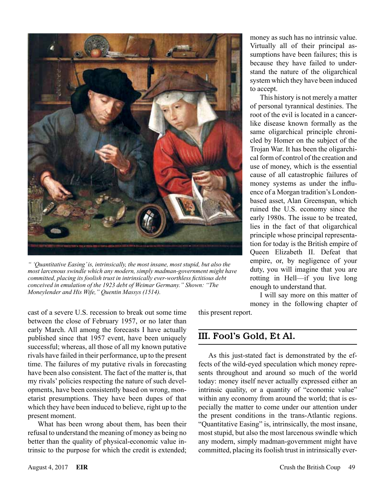

*" 'Quantitative Easing' is, intrinsically, the most insane, most stupid, but also the most larcenous swindle which any modern, simply madman-government might have committed, placing its foolish trust in intrinsically ever-worthless fictitious debt conceived in emulation of the 1923 debt of Weimar Germany." Shown: "The Moneylender and His Wife," Quentin Massys (1514).*

money as such has no intrinsic value. Virtually all of their principal assumptions have been failures; this is because they have failed to understand the nature of the oligarchical system which they have been induced to accept.

This history is not merely a matter of personal tyrannical destinies. The root of the evil is located in a cancerlike disease known formally as the same oligarchical principle chronicled by Homer on the subject of the Trojan War. It has been the oligarchical form of control of the creation and use of money, which is the essential cause of all catastrophic failures of money systems as under the influence of a Morgan tradition's Londonbased asset, Alan Greenspan, which ruined the U.S. economy since the early 1980s. The issue to be treated, lies in the fact of that oligarchical principle whose principal representation for today is the British empire of Queen Elizabeth II. Defeat that empire, or, by negligence of your duty, you will imagine that you are rotting in Hell—if you live long enough to understand that.

I will say more on this matter of money in the following chapter of

this present report.

# III. Fool's Gold, Et Al.

As this just-stated fact is demonstrated by the effects of the wild-eyed speculation which money represents throughout and around so much of the world today: money itself never actually expressed either an intrinsic quality, or a quantity of "economic value" within any economy from around the world; that is especially the matter to come under our attention under the present conditions in the trans-Atlantic regions. "Quantitative Easing" is, intrinsically, the most insane, most stupid, but also the most larcenous swindle which any modern, simply madman-government might have committed, placing its foolish trust in intrinsically ever-

cast of a severe U.S. recession to break out some time between the close of February 1957, or no later than early March. All among the forecasts I have actually published since that 1957 event, have been uniquely successful; whereas, all those of all my known putative rivals have failed in their performance, up to the present time. The failures of my putative rivals in forecasting have been also consistent. The fact of the matter is, that my rivals' policies respecting the nature of such developments, have been consistently based on wrong, monetarist presumptions. They have been dupes of that which they have been induced to believe, right up to the present moment.

What has been wrong about them, has been their refusal to understand the meaning of money as being no better than the quality of physical-economic value intrinsic to the purpose for which the credit is extended;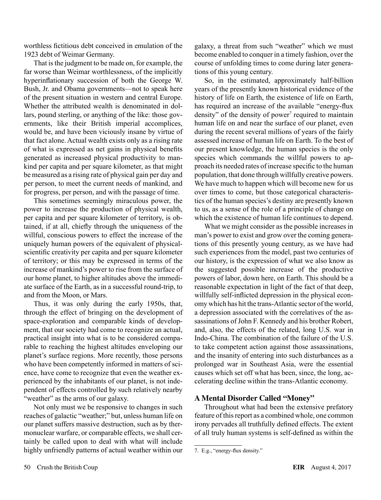worthless fictitious debt conceived in emulation of the 1923 debt of Weimar Germany.

That is the judgment to be made on, for example, the far worse than Weimar worthlessness, of the implicitly hyperinflationary succession of both the George W. Bush, Jr. and Obama governments—not to speak here of the present situation in western and central Europe. Whether the attributed wealth is denominated in dollars, pound sterling, or anything of the like: those governments, like their British imperial accomplices, would be, and have been viciously insane by virtue of that fact alone. Actual wealth exists only as a rising rate of what is expressed as net gains in physical benefits generated as increased physical productivity to mankind per capita and per square kilometer, as that might be measured as a rising rate of physical gain per day and per person, to meet the current needs of mankind, and for progress, per person, and with the passage of time.

This sometimes seemingly miraculous power, the power to increase the production of physical wealth, per capita and per square kilometer of territory, is obtained, if at all, chiefly through the uniqueness of the willful, conscious powers to effect the increase of the uniquely human powers of the equivalent of physicalscientific creativity per capita and per square kilometer of territory; or this may be expressed in terms of the increase of mankind's power to rise from the surface of our home planet, to higher altitudes above the immediate surface of the Earth, as in a successful round-trip, to and from the Moon, or Mars.

Thus, it was only during the early 1950s, that, through the effect of bringing on the development of space-exploration and comparable kinds of development, that our society had come to recognize an actual, practical insight into what is to be considered comparable to reaching the highest altitudes enveloping our planet's surface regions. More recently, those persons who have been competently informed in matters of science, have come to recognize that even the weather experienced by the inhabitants of our planet, is not independent of effects controlled by such relatively nearby "weather" as the arms of our galaxy.

Not only must we be responsive to changes in such reaches of galactic "weather;" but, unless human life on our planet suffers massive destruction, such as by thermonuclear warfare, or comparable effects, we shall certainly be called upon to deal with what will include highly unfriendly patterns of actual weather within our

galaxy, a threat from such "weather" which we must become enabled to conquer in a timely fashion, over the course of unfolding times to come during later generations of this young century.

So, in the estimated, approximately half-billion years of the presently known historical evidence of the history of life on Earth, the existence of life on Earth, has required an increase of the available "energy-flux density" of the density of power<sup>7</sup> required to maintain human life on and near the surface of our planet, even during the recent several millions of years of the fairly assessed increase of human life on Earth. To the best of our present knowledge, the human species is the only species which commands the willful powers to approach its needed rates of increase specific to the human population, that done through willfully creative powers. We have much to happen which will become new for us over times to come, but those categorical characteristics of the human species's destiny are presently known to us, as a sense of the role of a principle of change on which the existence of human life continues to depend.

What we might consider as the possible increases in man's power to exist and grow over the coming generations of this presently young century, as we have had such experiences from the model, past two centuries of our history, is the expression of what we also know as the suggested possible increase of the productive powers of labor, down here, on Earth. This should be a reasonable expectation in light of the fact of that deep, willfully self-inflicted depression in the physical economy which has hit the trans-Atlantic sector of the world, a depression associated with the correlatives of the assassinations of John F. Kennedy and his brother Robert, and, also, the effects of the related, long U.S. war in Indo-China. The combination of the failure of the U.S. to take competent action against those assassinations, and the insanity of entering into such disturbances as a prolonged war in Southeast Asia, were the essential causes which set off what has been, since, the long, accelerating decline within the trans-Atlantic economy.

#### **A Mental Disorder Called "Money"**

Throughout what had been the extensive prefatory feature of this report as a combined whole, one common irony pervades all truthfully defined effects. The extent of all truly human systems is self-defined as within the

<sup>7.</sup> E.g., "energy-flux density."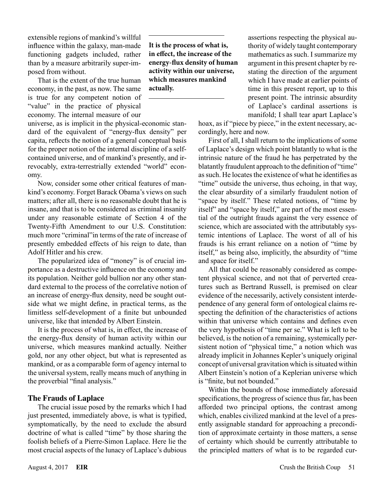extensible regions of mankind's willful influence within the galaxy, man-made functioning gadgets included, rather than by a measure arbitrarily super-imposed from without.

That is the extent of the true human economy, in the past, as now. The same is true for any competent notion of "value" in the practice of physical economy. The internal measure of our

universe, as is implicit in the physical-economic standard of the equivalent of "energy-flux density" per capita, reflects the notion of a general conceptual basis for the proper notion of the internal discipline of a selfcontained universe, and of mankind's presently, and irrevocably, extra-terrestrially extended "world" economy.

Now, consider some other critical features of mankind's economy. Forget Barack Obama's views on such matters; after all, there is no reasonable doubt that he is insane, and that is to be considered as criminal insanity under any reasonable estimate of Section 4 of the Twenty-Fifth Amendment to our U.S. Constitution: much more "criminal"in terms of the rate of increase of presently embedded effects of his reign to date, than Adolf Hitler and his crew.

The popularized idea of "money" is of crucial importance as a destructive influence on the economy and its population. Neither gold bullion nor any other standard external to the process of the correlative notion of an increase of energy-flux density, need be sought outside what we might define, in practical terms, as the limitless self-development of a finite but unbounded universe, like that intended by Albert Einstein.

It is the process of what is, in effect, the increase of the energy-flux density of human activity within our universe, which measures mankind actually. Neither gold, nor any other object, but what is represented as mankind, or as a comparable form of agency internal to the universal system, really means much of anything in the proverbial "final analysis."

#### **The Frauds of Laplace**

The crucial issue posed by the remarks which I had just presented, immediately above, is what is typified, symptomatically, by the need to exclude the absurd doctrine of what is called "time" by those sharing the foolish beliefs of a Pierre-Simon Laplace. Here lie the most crucial aspects of the lunacy of Laplace's dubious

**It is the process of what is, in effect, the increase of the energy-flux density of human activity within our universe, which measures mankind actually.**

assertions respecting the physical authority of widely taught contemporary mathematics as such. I summarize my argument in this present chapter by restating the direction of the argument which I have made at earlier points of time in this present report, up to this present point. The intrinsic absurdity of Laplace's cardinal assertions is manifold; I shall tear apart Laplace's

hoax, as if "piece by piece," in the extent necessary, accordingly, here and now.

First of all, I shall return to the implications of some of Laplace's design which point blatantly to what is the intrinsic nature of the fraud he has perpetrated by the blatantly fraudulent approach to the definition of "time" as such. He locates the existence of what he identifies as "time" outside the universe, thus echoing, in that way, the clear absurdity of a similarly fraudulent notion of "space by itself." These related notions, of "time by itself" and "space by itself," are part of the most essential of the outright frauds against the very essence of science, which are associated with the attributably systemic intentions of Laplace. The worst of all of his frauds is his errant reliance on a notion of "time by itself," as being also, implicitly, the absurdity of "time and space for itself."

All that could be reasonably considered as competent physical science, and not that of perverted creatures such as Bertrand Russell, is premised on clear evidence of the necessarily, actively consistent interdependence of any general form of ontological claims respecting the definition of the characteristics of actions within that universe which contains and defines even the very hypothesis of "time per se." What is left to be believed, is the notion of a remaining, systemically persistent notion of "physical time," a notion which was already implicit in Johannes Kepler's uniquely original concept of universal gravitation which is situated within Albert Einstein's notion of a Keplerian universe which is "finite, but not bounded."

Within the bounds of those immediately aforesaid specifications, the progress of science thus far, has been afforded two principal options, the contrast among which, enables civilized mankind at the level of a presently assignable standard for approaching a precondition of approximate certainty in those matters, a sense of certainty which should be currently attributable to the principled matters of what is to be regarded cur-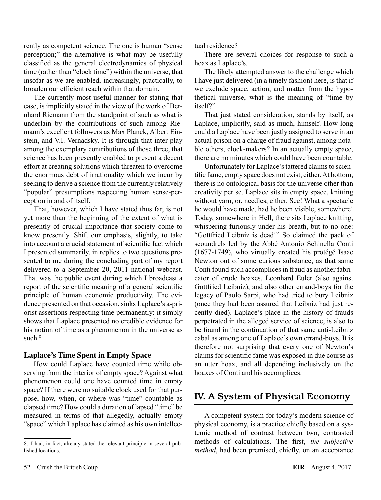rently as competent science. The one is human "sense perception;" the alternative is what may be usefully classified as the general electrodynamics of physical time (rather than "clock time") within the universe, that insofar as we are enabled, increasingly, practically, to broaden our efficient reach within that domain.

The currently most useful manner for stating that case, is implicitly stated in the view of the work of Bernhard Riemann from the standpoint of such as what is underlain by the contributions of such among Riemann's excellent followers as Max Planck, Albert Einstein, and V.I. Vernadsky. It is through that inter-play among the exemplary contributions of those three, that science has been presently enabled to present a decent effort at creating solutions which threaten to overcome the enormous debt of irrationality which we incur by seeking to derive a science from the currently relatively "popular" presumptions respecting human sense-perception in and of itself.

That, however, which I have stated thus far, is not yet more than the beginning of the extent of what is presently of crucial importance that society come to know presently. Shift our emphasis, slightly, to take into account a crucial statement of scientific fact which I presented summarily, in replies to two questions presented to me during the concluding part of my report delivered to a September 20, 2011 national webcast. That was the public event during which I broadcast a report of the scientific meaning of a general scientific principle of human economic productivity. The evidence presented on that occasion, sinks Laplace's a-priorist assertions respecting time permanently: it simply shows that Laplace presented no credible evidence for his notion of time as a phenomenon in the universe as such.<sup>8</sup>

#### **Laplace's Time Spent in Empty Space**

How could Laplace have counted time while observing from the interior of empty space? Against what phenomenon could one have counted time in empty space? If there were no suitable clock used for that purpose, how, when, or where was "time" countable as elapsed time? How could a duration of lapsed "time" be measured in terms of that allegedly, actually empty "space" which Laplace has claimed as his own intellectual residence?

There are several choices for response to such a hoax as Laplace's.

The likely attempted answer to the challenge which I have just delivered (in a timely fashion) here, is that if we exclude space, action, and matter from the hypothetical universe, what is the meaning of "time by itself?"

That just stated consideration, stands by itself, as Laplace, implicitly, said as much, himself. How long could a Laplace have been justly assigned to serve in an actual prison on a charge of fraud against, among notable others, clock-makers? In an actually empty space, there are no minutes which could have been countable.

Unfortunately for Laplace's tattered claims to scientific fame, empty space does not exist, either. At bottom, there is no ontological basis for the universe other than creativity per se. Laplace sits in empty space, knitting without yarn, or, needles, either. See! What a spectacle he would have made, had he been visible, somewhere! Today, somewhere in Hell, there sits Laplace knitting, whispering furiously under his breath, but to no one: "Gottfried Leibniz is dead!" So claimed the pack of scoundrels led by the Abbé Antonio Schinella Conti (1677-1749), who virtually created his protégé Isaac Newton out of some curious substance, as that same Conti found such accomplices in fraud as another fabricator of crude hoaxes, Leonhard Euler (also against Gottfried Leibniz), and also other errand-boys for the legacy of Paolo Sarpi, who had tried to bury Leibniz (once they had been assured that Leibniz had just recently died). Laplace's place in the history of frauds perpetrated in the alleged service of science, is also to be found in the continuation of that same anti-Leibniz cabal as among one of Laplace's own errand-boys. It is therefore not surprising that every one of Newton's claims for scientific fame was exposed in due course as an utter hoax, and all depending inclusively on the hoaxes of Conti and his accomplices.

# IV. A System of Physical Economy

A competent system for today's modern science of physical economy, is a practice chiefly based on a systemic method of contrast between two, contrasted methods of calculations. The first, *the subjective method*, had been premised, chiefly, on an acceptance

<sup>8.</sup> I had, in fact, already stated the relevant principle in several published locations.